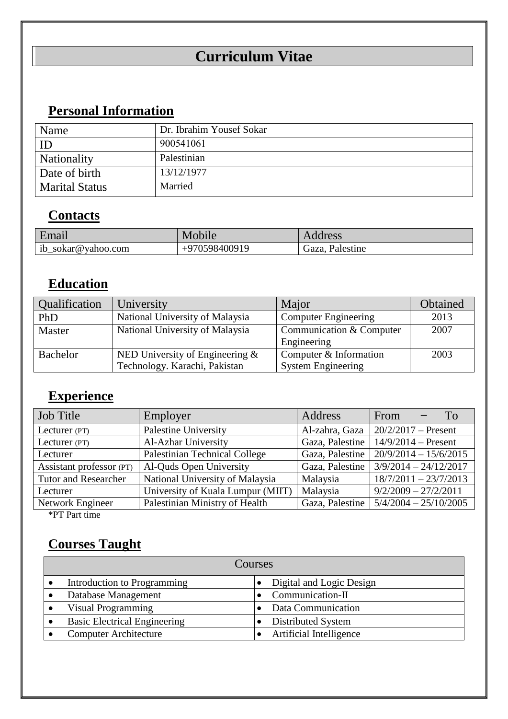# **Curriculum Vitae**

## **Personal Information**

| Name                  | Dr. Ibrahim Yousef Sokar |
|-----------------------|--------------------------|
| $\Box$                | 900541061                |
| Nationality           | Palestinian              |
| Date of birth         | 13/12/1977               |
| <b>Marital Status</b> | Married                  |

#### **Contacts**

| Email                     | Mobile        | Address         |
|---------------------------|---------------|-----------------|
| ib_sokar@yahoo.com<br>$-$ | +970598400919 | Gaza, Palestine |

### **Education**

| Qualification | University                        | Major                       | Obtained |
|---------------|-----------------------------------|-----------------------------|----------|
| PhD           | National University of Malaysia   | <b>Computer Engineering</b> | 2013     |
| <b>Master</b> | National University of Malaysia   | Communication & Computer    | 2007     |
|               |                                   | Engineering                 |          |
| Bachelor      | NED University of Engineering $&$ | Computer & Information      | 2003     |
|               | Technology. Karachi, Pakistan     | <b>System Engineering</b>   |          |

#### **Experience**

| <b>Job Title</b>            | Employer                          | Address         | From<br>To                                |
|-----------------------------|-----------------------------------|-----------------|-------------------------------------------|
| Lecturer (PT)               | <b>Palestine University</b>       | Al-zahra, Gaza  | $20/2/2017$ – Present                     |
| Lecturer (PT)               | Al-Azhar University               |                 | Gaza, Palestine   $14/9/2014$ – Present   |
| Lecturer                    | Palestinian Technical College     | Gaza, Palestine | $20/9/2014 - 15/6/2015$                   |
| Assistant professor (PT)    | Al-Quds Open University           | Gaza, Palestine | $3/9/2014 - 24/12/2017$                   |
| <b>Tutor and Researcher</b> | National University of Malaysia   | Malaysia        | $18/7/2011 - 23/7/2013$                   |
| Lecturer                    | University of Kuala Lumpur (MIIT) | Malaysia        | $9/2/2009 - 27/2/2011$                    |
| Network Engineer            | Palestinian Ministry of Health    |                 | Gaza, Palestine   $5/4/2004 - 25/10/2005$ |

\*PT Part time

#### **Courses Taught**

| Courses                             |  |                          |  |  |
|-------------------------------------|--|--------------------------|--|--|
| Introduction to Programming         |  | Digital and Logic Design |  |  |
| Database Management                 |  | Communication-II         |  |  |
| Visual Programming                  |  | Data Communication       |  |  |
| <b>Basic Electrical Engineering</b> |  | Distributed System       |  |  |
| <b>Computer Architecture</b>        |  | Artificial Intelligence  |  |  |